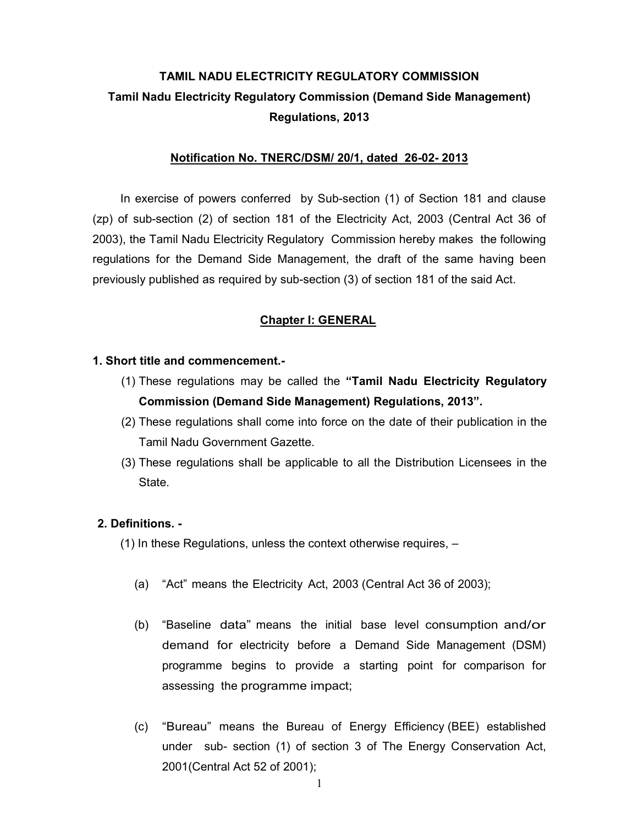# TAMIL NADU ELECTRICITY REGULATORY COMMISSION Tamil Nadu Electricity Regulatory Commission (Demand Side Management) Regulations, 2013

# Notification No. TNERC/DSM/ 20/1, dated 26-02- 2013

In exercise of powers conferred by Sub-section (1) of Section 181 and clause (zp) of sub-section (2) of section 181 of the Electricity Act, 2003 (Central Act 36 of 2003), the Tamil Nadu Electricity Regulatory Commission hereby makes the following regulations for the Demand Side Management, the draft of the same having been previously published as required by sub-section (3) of section 181 of the said Act.

# Chapter I: GENERAL

# 1. Short title and commencement.-

- (1) These regulations may be called the "Tamil Nadu Electricity Regulatory Commission (Demand Side Management) Regulations, 2013".
- (2) These regulations shall come into force on the date of their publication in the Tamil Nadu Government Gazette.
- (3) These regulations shall be applicable to all the Distribution Licensees in the State.

# 2. Definitions. -

(1) In these Regulations, unless the context otherwise requires, –

- (a) "Act" means the Electricity Act, 2003 (Central Act 36 of 2003);
- (b) "Baseline data" means the initial base level consumption and/or demand for electricity before a Demand Side Management (DSM) programme begins to provide a starting point for comparison for assessing the programme impact;
- (c) "Bureau" means the Bureau of Energy Efficiency (BEE) established under sub- section (1) of section 3 of The Energy Conservation Act, 2001(Central Act 52 of 2001);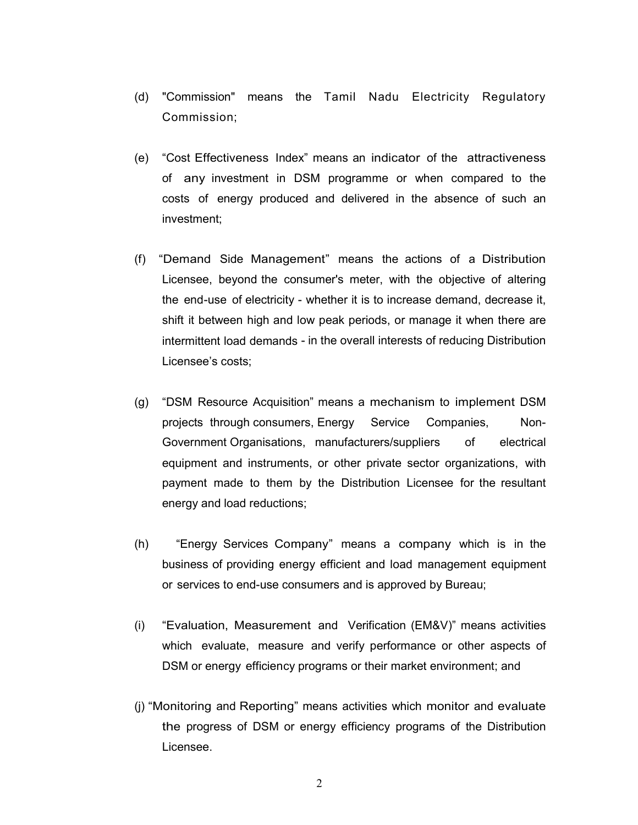- (d) "Commission" means the Tamil Nadu Electricity Regulatory Commission;
- (e) "Cost Effectiveness Index" means an indicator of the attractiveness of any investment in DSM programme or when compared to the costs of energy produced and delivered in the absence of such an investment;
- (f) "Demand Side Management" means the actions of a Distribution Licensee, beyond the consumer's meter, with the objective of altering the end-use of electricity - whether it is to increase demand, decrease it, shift it between high and low peak periods, or manage it when there are intermittent load demands - in the overall interests of reducing Distribution Licensee's costs;
- (g) "DSM Resource Acquisition" means a mechanism to implement DSM projects through consumers, Energy Service Companies, Non-Government Organisations, manufacturers/suppliers of electrical equipment and instruments, or other private sector organizations, with payment made to them by the Distribution Licensee for the resultant energy and load reductions;
- (h) "Energy Services Company" means a company which is in the business of providing energy efficient and load management equipment or services to end-use consumers and is approved by Bureau;
- (i) "Evaluation, Measurement and Verification (EM&V)" means activities which evaluate, measure and verify performance or other aspects of DSM or energy efficiency programs or their market environment; and
- (j) "Monitoring and Reporting" means activities which monitor and evaluate the progress of DSM or energy efficiency programs of the Distribution Licensee.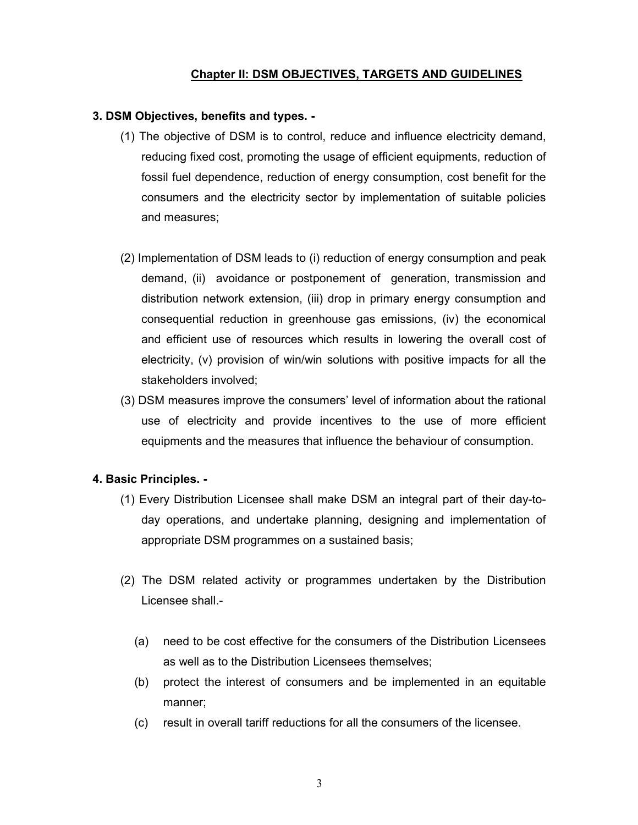# Chapter II: DSM OBJECTIVES, TARGETS AND GUIDELINES

# 3. DSM Objectives, benefits and types. -

- (1) The objective of DSM is to control, reduce and influence electricity demand, reducing fixed cost, promoting the usage of efficient equipments, reduction of fossil fuel dependence, reduction of energy consumption, cost benefit for the consumers and the electricity sector by implementation of suitable policies and measures;
- (2) Implementation of DSM leads to (i) reduction of energy consumption and peak demand, (ii) avoidance or postponement of generation, transmission and distribution network extension, (iii) drop in primary energy consumption and consequential reduction in greenhouse gas emissions, (iv) the economical and efficient use of resources which results in lowering the overall cost of electricity, (v) provision of win/win solutions with positive impacts for all the stakeholders involved;
- (3) DSM measures improve the consumers' level of information about the rational use of electricity and provide incentives to the use of more efficient equipments and the measures that influence the behaviour of consumption.

#### 4. Basic Principles. -

- (1) Every Distribution Licensee shall make DSM an integral part of their day-today operations, and undertake planning, designing and implementation of appropriate DSM programmes on a sustained basis;
- (2) The DSM related activity or programmes undertaken by the Distribution Licensee shall.-
	- (a) need to be cost effective for the consumers of the Distribution Licensees as well as to the Distribution Licensees themselves;
	- (b) protect the interest of consumers and be implemented in an equitable manner;
	- (c) result in overall tariff reductions for all the consumers of the licensee.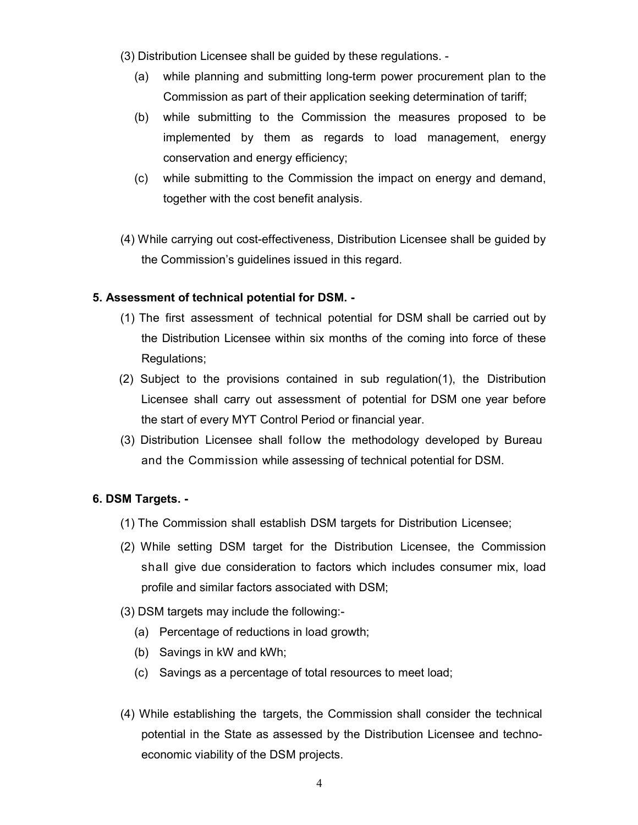- (3) Distribution Licensee shall be guided by these regulations.
	- (a) while planning and submitting long-term power procurement plan to the Commission as part of their application seeking determination of tariff;
	- (b) while submitting to the Commission the measures proposed to be implemented by them as regards to load management, energy conservation and energy efficiency;
	- (c) while submitting to the Commission the impact on energy and demand, together with the cost benefit analysis.
- (4) While carrying out cost-effectiveness, Distribution Licensee shall be guided by the Commission's guidelines issued in this regard.

# 5. Assessment of technical potential for DSM. -

- (1) The first assessment of technical potential for DSM shall be carried out by the Distribution Licensee within six months of the coming into force of these Regulations;
- (2) Subject to the provisions contained in sub regulation(1), the Distribution Licensee shall carry out assessment of potential for DSM one year before the start of every MYT Control Period or financial year.
- (3) Distribution Licensee shall follow the methodology developed by Bureau and the Commission while assessing of technical potential for DSM.

# 6. DSM Targets. -

- (1) The Commission shall establish DSM targets for Distribution Licensee;
- (2) While setting DSM target for the Distribution Licensee, the Commission shall give due consideration to factors which includes consumer mix, load profile and similar factors associated with DSM;
- (3) DSM targets may include the following:-
	- (a) Percentage of reductions in load growth;
	- (b) Savings in kW and kWh;
	- (c) Savings as a percentage of total resources to meet load;
- (4) While establishing the targets, the Commission shall consider the technical potential in the State as assessed by the Distribution Licensee and technoeconomic viability of the DSM projects.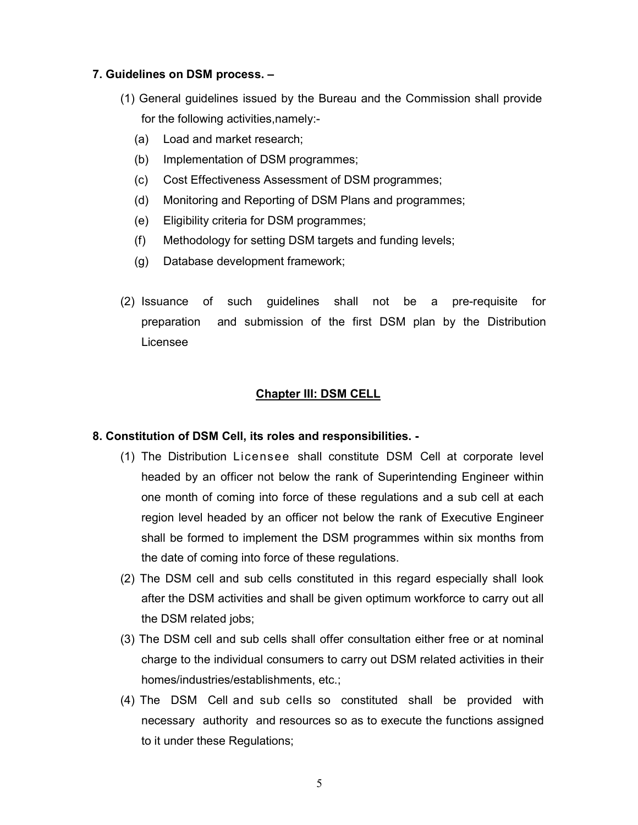# 7. Guidelines on DSM process. –

- (1) General guidelines issued by the Bureau and the Commission shall provide for the following activities,namely:-
	- (a) Load and market research;
	- (b) Implementation of DSM programmes;
	- (c) Cost Effectiveness Assessment of DSM programmes;
	- (d) Monitoring and Reporting of DSM Plans and programmes;
	- (e) Eligibility criteria for DSM programmes;
	- (f) Methodology for setting DSM targets and funding levels;
	- (g) Database development framework;
- (2) Issuance of such guidelines shall not be a pre-requisite for preparation and submission of the first DSM plan by the Distribution Licensee

### Chapter III: DSM CELL

#### 8. Constitution of DSM Cell, its roles and responsibilities. -

- (1) The Distribution Licensee shall constitute DSM Cell at corporate level headed by an officer not below the rank of Superintending Engineer within one month of coming into force of these regulations and a sub cell at each region level headed by an officer not below the rank of Executive Engineer shall be formed to implement the DSM programmes within six months from the date of coming into force of these regulations.
- (2) The DSM cell and sub cells constituted in this regard especially shall look after the DSM activities and shall be given optimum workforce to carry out all the DSM related jobs;
- (3) The DSM cell and sub cells shall offer consultation either free or at nominal charge to the individual consumers to carry out DSM related activities in their homes/industries/establishments, etc.;
- (4) The DSM Cell and sub cells so constituted shall be provided with necessary authority and resources so as to execute the functions assigned to it under these Regulations;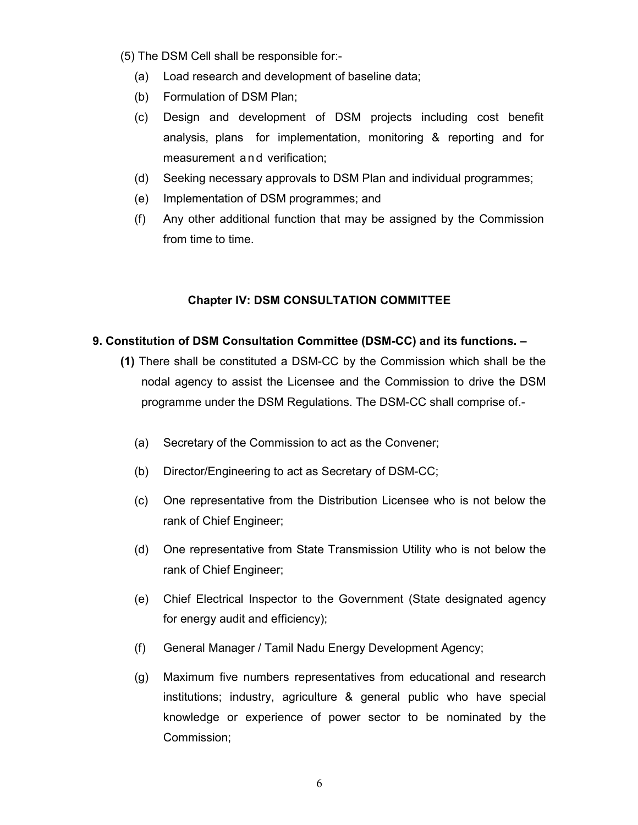- (5) The DSM Cell shall be responsible for:-
	- (a) Load research and development of baseline data;
	- (b) Formulation of DSM Plan;
	- (c) Design and development of DSM projects including cost benefit analysis, plans for implementation, monitoring & reporting and for measurement an d verification;
	- (d) Seeking necessary approvals to DSM Plan and individual programmes;
	- (e) Implementation of DSM programmes; and
	- (f) Any other additional function that may be assigned by the Commission from time to time.

# Chapter IV: DSM CONSULTATION COMMITTEE

# 9. Constitution of DSM Consultation Committee (DSM-CC) and its functions. –

- (1) There shall be constituted a DSM-CC by the Commission which shall be the nodal agency to assist the Licensee and the Commission to drive the DSM programme under the DSM Regulations. The DSM-CC shall comprise of.-
	- (a) Secretary of the Commission to act as the Convener;
	- (b) Director/Engineering to act as Secretary of DSM-CC;
	- (c) One representative from the Distribution Licensee who is not below the rank of Chief Engineer;
	- (d) One representative from State Transmission Utility who is not below the rank of Chief Engineer;
	- (e) Chief Electrical Inspector to the Government (State designated agency for energy audit and efficiency);
	- (f) General Manager / Tamil Nadu Energy Development Agency;
	- (g) Maximum five numbers representatives from educational and research institutions; industry, agriculture & general public who have special knowledge or experience of power sector to be nominated by the Commission;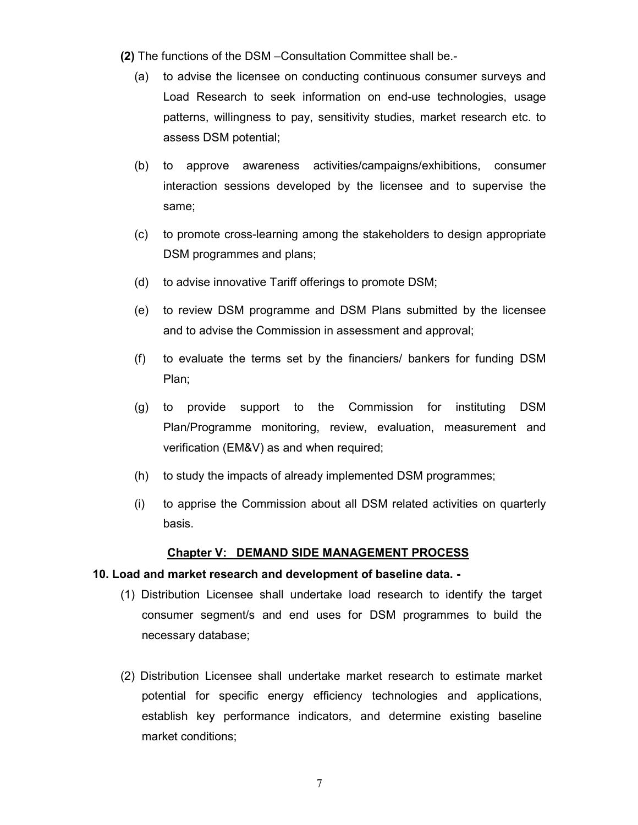- (2) The functions of the DSM –Consultation Committee shall be.-
	- (a) to advise the licensee on conducting continuous consumer surveys and Load Research to seek information on end-use technologies, usage patterns, willingness to pay, sensitivity studies, market research etc. to assess DSM potential;
	- (b) to approve awareness activities/campaigns/exhibitions, consumer interaction sessions developed by the licensee and to supervise the same;
	- (c) to promote cross-learning among the stakeholders to design appropriate DSM programmes and plans;
	- (d) to advise innovative Tariff offerings to promote DSM;
	- (e) to review DSM programme and DSM Plans submitted by the licensee and to advise the Commission in assessment and approval;
	- (f) to evaluate the terms set by the financiers/ bankers for funding DSM Plan;
	- (g) to provide support to the Commission for instituting DSM Plan/Programme monitoring, review, evaluation, measurement and verification (EM&V) as and when required;
	- (h) to study the impacts of already implemented DSM programmes;
	- (i) to apprise the Commission about all DSM related activities on quarterly basis.

#### Chapter V: DEMAND SIDE MANAGEMENT PROCESS

#### 10. Load and market research and development of baseline data. -

- (1) Distribution Licensee shall undertake load research to identify the target consumer segment/s and end uses for DSM programmes to build the necessary database;
- (2) Distribution Licensee shall undertake market research to estimate market potential for specific energy efficiency technologies and applications, establish key performance indicators, and determine existing baseline market conditions;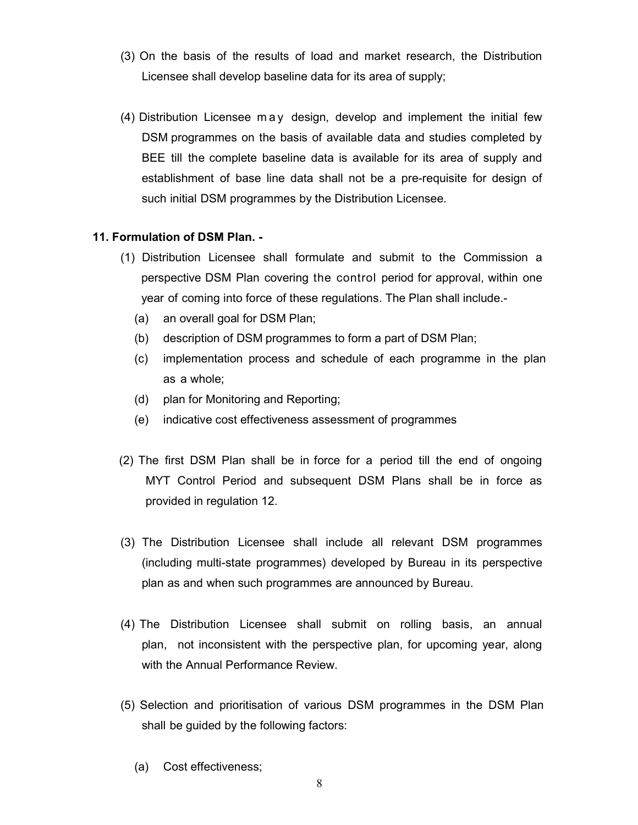- (3) On the basis of the results of load and market research, the Distribution Licensee shall develop baseline data for its area of supply;
- (4) Distribution Licensee m a y design, develop and implement the initial few DSM programmes on the basis of available data and studies completed by BEE till the complete baseline data is available for its area of supply and establishment of base line data shall not be a pre-requisite for design of such initial DSM programmes by the Distribution Licensee.

# 11. Formulation of DSM Plan. -

- (1) Distribution Licensee shall formulate and submit to the Commission a perspective DSM Plan covering the control period for approval, within one year of coming into force of these regulations. The Plan shall include.-
	- (a) an overall goal for DSM Plan;
	- (b) description of DSM programmes to form a part of DSM Plan;
	- (c) implementation process and schedule of each programme in the plan as a whole;
	- (d) plan for Monitoring and Reporting;
	- (e) indicative cost effectiveness assessment of programmes
- (2) The first DSM Plan shall be in force for a period till the end of ongoing MYT Control Period and subsequent DSM Plans shall be in force as provided in regulation 12.
- (3) The Distribution Licensee shall include all relevant DSM programmes (including multi-state programmes) developed by Bureau in its perspective plan as and when such programmes are announced by Bureau.
- (4) The Distribution Licensee shall submit on rolling basis, an annual plan, not inconsistent with the perspective plan, for upcoming year, along with the Annual Performance Review.
- (5) Selection and prioritisation of various DSM programmes in the DSM Plan shall be guided by the following factors:
	- (a) Cost effectiveness;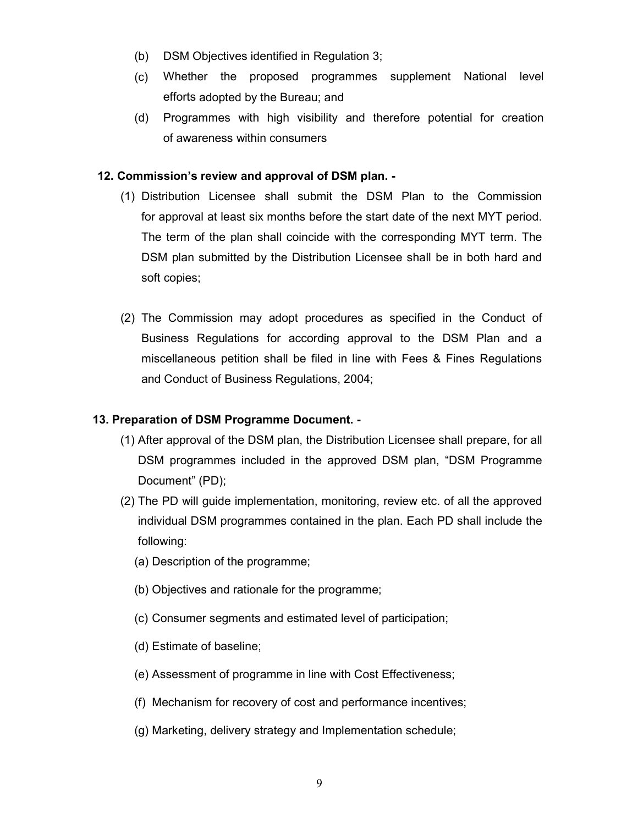- (b) DSM Objectives identified in Regulation 3;
- (c) Whether the proposed programmes supplement National level efforts adopted by the Bureau; and
- (d) Programmes with high visibility and therefore potential for creation of awareness within consumers

# 12. Commission's review and approval of DSM plan. -

- (1) Distribution Licensee shall submit the DSM Plan to the Commission for approval at least six months before the start date of the next MYT period. The term of the plan shall coincide with the corresponding MYT term. The DSM plan submitted by the Distribution Licensee shall be in both hard and soft copies;
- (2) The Commission may adopt procedures as specified in the Conduct of Business Regulations for according approval to the DSM Plan and a miscellaneous petition shall be filed in line with Fees & Fines Regulations and Conduct of Business Regulations, 2004;

# 13. Preparation of DSM Programme Document. -

- (1) After approval of the DSM plan, the Distribution Licensee shall prepare, for all DSM programmes included in the approved DSM plan, "DSM Programme Document" (PD);
- (2) The PD will guide implementation, monitoring, review etc. of all the approved individual DSM programmes contained in the plan. Each PD shall include the following:
	- (a) Description of the programme;
	- (b) Objectives and rationale for the programme;
	- (c) Consumer segments and estimated level of participation;
	- (d) Estimate of baseline;
	- (e) Assessment of programme in line with Cost Effectiveness;
	- (f) Mechanism for recovery of cost and performance incentives;
	- (g) Marketing, delivery strategy and Implementation schedule;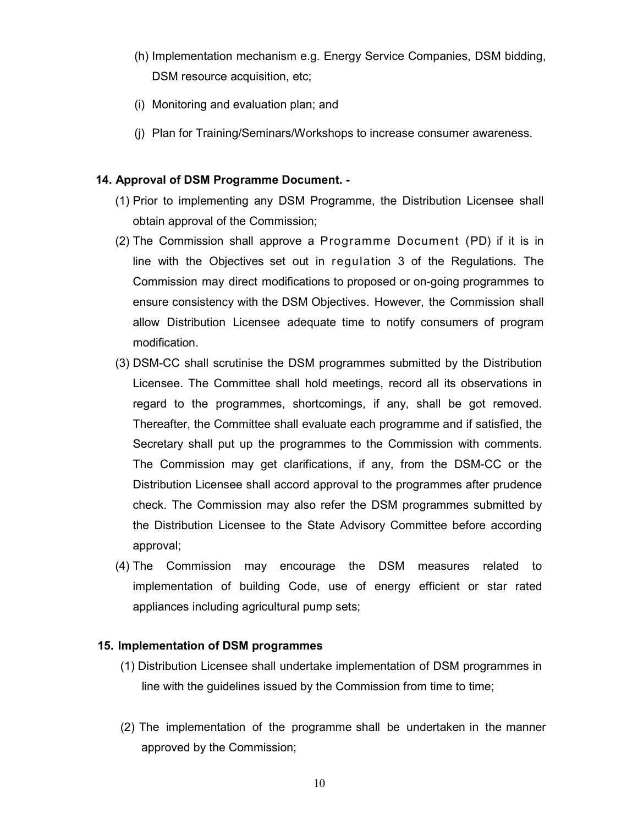- (h) Implementation mechanism e.g. Energy Service Companies, DSM bidding, DSM resource acquisition, etc;
- (i) Monitoring and evaluation plan; and
- (j) Plan for Training/Seminars/Workshops to increase consumer awareness.

#### 14. Approval of DSM Programme Document. -

- (1) Prior to implementing any DSM Programme, the Distribution Licensee shall obtain approval of the Commission;
- (2) The Commission shall approve a Programme Document (PD) if it is in line with the Objectives set out in regulation 3 of the Regulations. The Commission may direct modifications to proposed or on-going programmes to ensure consistency with the DSM Objectives. However, the Commission shall allow Distribution Licensee adequate time to notify consumers of program modification.
- (3) DSM-CC shall scrutinise the DSM programmes submitted by the Distribution Licensee. The Committee shall hold meetings, record all its observations in regard to the programmes, shortcomings, if any, shall be got removed. Thereafter, the Committee shall evaluate each programme and if satisfied, the Secretary shall put up the programmes to the Commission with comments. The Commission may get clarifications, if any, from the DSM-CC or the Distribution Licensee shall accord approval to the programmes after prudence check. The Commission may also refer the DSM programmes submitted by the Distribution Licensee to the State Advisory Committee before according approval;
- (4) The Commission may encourage the DSM measures related to implementation of building Code, use of energy efficient or star rated appliances including agricultural pump sets;

#### 15. Implementation of DSM programmes

- (1) Distribution Licensee shall undertake implementation of DSM programmes in line with the guidelines issued by the Commission from time to time;
- (2) The implementation of the programme shall be undertaken in the manner approved by the Commission;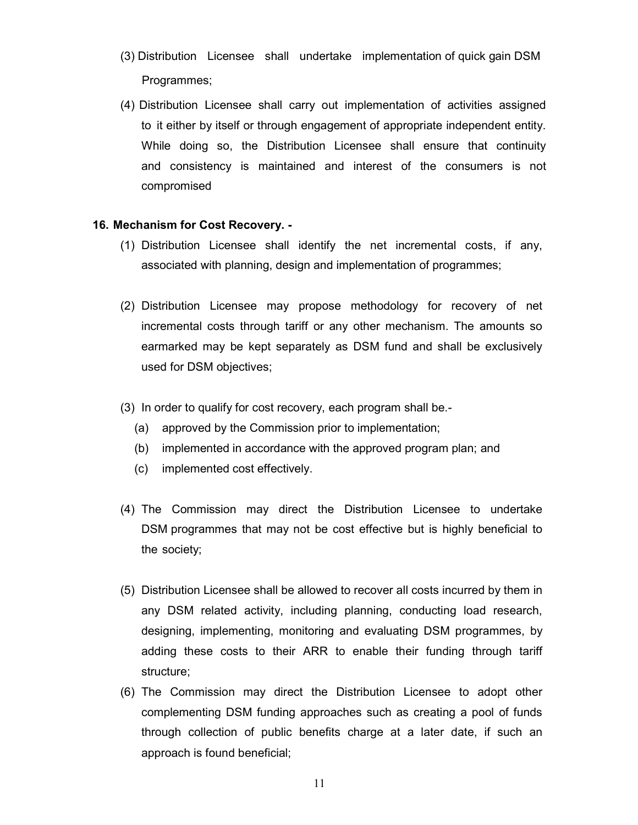- (3) Distribution Licensee shall undertake implementation of quick gain DSM Programmes;
- (4) Distribution Licensee shall carry out implementation of activities assigned to it either by itself or through engagement of appropriate independent entity. While doing so, the Distribution Licensee shall ensure that continuity and consistency is maintained and interest of the consumers is not compromised

### 16. Mechanism for Cost Recovery. -

- (1) Distribution Licensee shall identify the net incremental costs, if any, associated with planning, design and implementation of programmes;
- (2) Distribution Licensee may propose methodology for recovery of net incremental costs through tariff or any other mechanism. The amounts so earmarked may be kept separately as DSM fund and shall be exclusively used for DSM objectives;
- (3) In order to qualify for cost recovery, each program shall be.-
	- (a) approved by the Commission prior to implementation;
	- (b) implemented in accordance with the approved program plan; and
	- (c) implemented cost effectively.
- (4) The Commission may direct the Distribution Licensee to undertake DSM programmes that may not be cost effective but is highly beneficial to the society;
- (5) Distribution Licensee shall be allowed to recover all costs incurred by them in any DSM related activity, including planning, conducting load research, designing, implementing, monitoring and evaluating DSM programmes, by adding these costs to their ARR to enable their funding through tariff structure;
- (6) The Commission may direct the Distribution Licensee to adopt other complementing DSM funding approaches such as creating a pool of funds through collection of public benefits charge at a later date, if such an approach is found beneficial;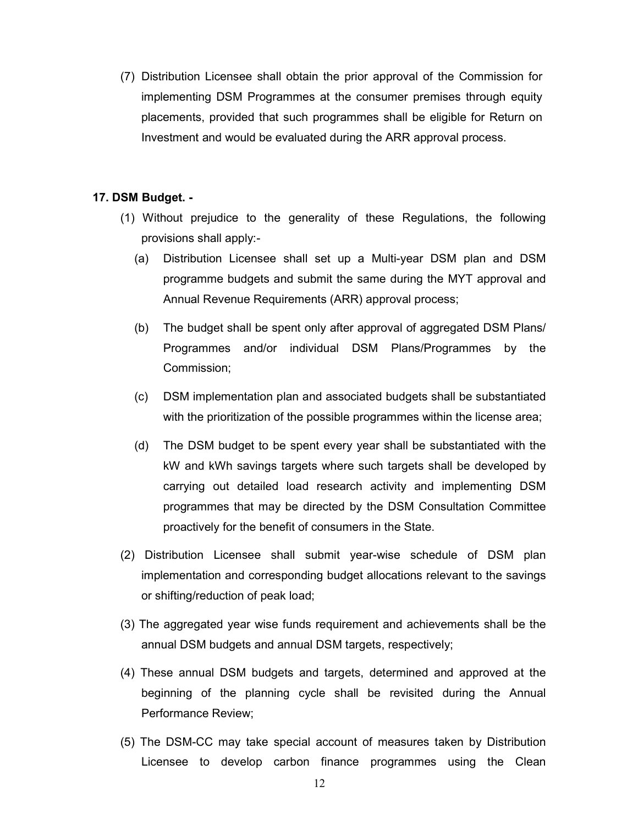(7) Distribution Licensee shall obtain the prior approval of the Commission for implementing DSM Programmes at the consumer premises through equity placements, provided that such programmes shall be eligible for Return on Investment and would be evaluated during the ARR approval process.

### 17. DSM Budget. -

- (1) Without prejudice to the generality of these Regulations, the following provisions shall apply:-
	- (a) Distribution Licensee shall set up a Multi-year DSM plan and DSM programme budgets and submit the same during the MYT approval and Annual Revenue Requirements (ARR) approval process;
	- (b) The budget shall be spent only after approval of aggregated DSM Plans/ Programmes and/or individual DSM Plans/Programmes by the Commission;
	- (c) DSM implementation plan and associated budgets shall be substantiated with the prioritization of the possible programmes within the license area;
	- (d) The DSM budget to be spent every year shall be substantiated with the kW and kWh savings targets where such targets shall be developed by carrying out detailed load research activity and implementing DSM programmes that may be directed by the DSM Consultation Committee proactively for the benefit of consumers in the State.
- (2) Distribution Licensee shall submit year-wise schedule of DSM plan implementation and corresponding budget allocations relevant to the savings or shifting/reduction of peak load;
- (3) The aggregated year wise funds requirement and achievements shall be the annual DSM budgets and annual DSM targets, respectively;
- (4) These annual DSM budgets and targets, determined and approved at the beginning of the planning cycle shall be revisited during the Annual Performance Review;
- (5) The DSM-CC may take special account of measures taken by Distribution Licensee to develop carbon finance programmes using the Clean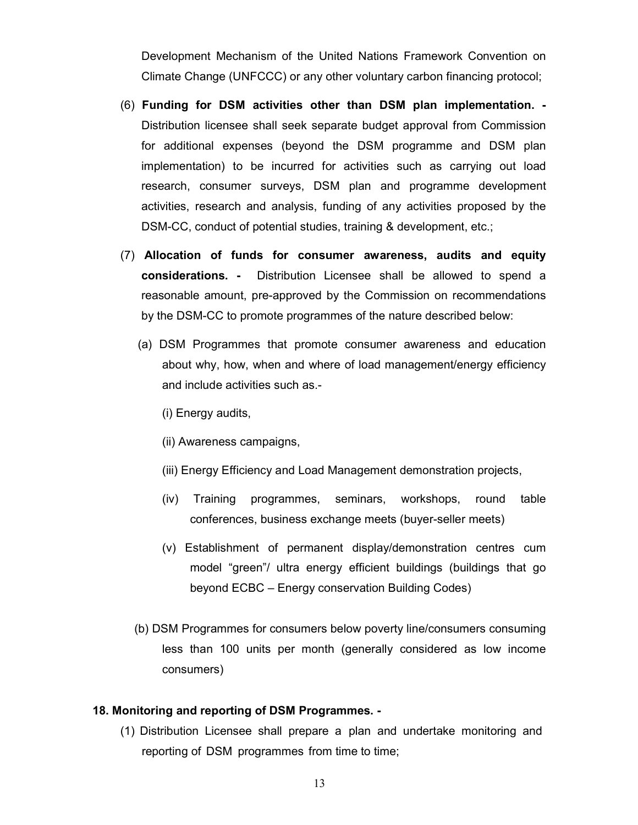Development Mechanism of the United Nations Framework Convention on Climate Change (UNFCCC) or any other voluntary carbon financing protocol;

- (6) Funding for DSM activities other than DSM plan implementation. Distribution licensee shall seek separate budget approval from Commission for additional expenses (beyond the DSM programme and DSM plan implementation) to be incurred for activities such as carrying out load research, consumer surveys, DSM plan and programme development activities, research and analysis, funding of any activities proposed by the DSM-CC, conduct of potential studies, training & development, etc.;
- (7) Allocation of funds for consumer awareness, audits and equity considerations. - Distribution Licensee shall be allowed to spend a reasonable amount, pre-approved by the Commission on recommendations by the DSM-CC to promote programmes of the nature described below:
	- (a) DSM Programmes that promote consumer awareness and education about why, how, when and where of load management/energy efficiency and include activities such as.-
		- (i) Energy audits,
		- (ii) Awareness campaigns,
		- (iii) Energy Efficiency and Load Management demonstration projects,
		- (iv) Training programmes, seminars, workshops, round table conferences, business exchange meets (buyer-seller meets)
		- (v) Establishment of permanent display/demonstration centres cum model "green"/ ultra energy efficient buildings (buildings that go beyond ECBC – Energy conservation Building Codes)
	- (b) DSM Programmes for consumers below poverty line/consumers consuming less than 100 units per month (generally considered as low income consumers)

#### 18. Monitoring and reporting of DSM Programmes. -

(1) Distribution Licensee shall prepare a plan and undertake monitoring and reporting of DSM programmes from time to time;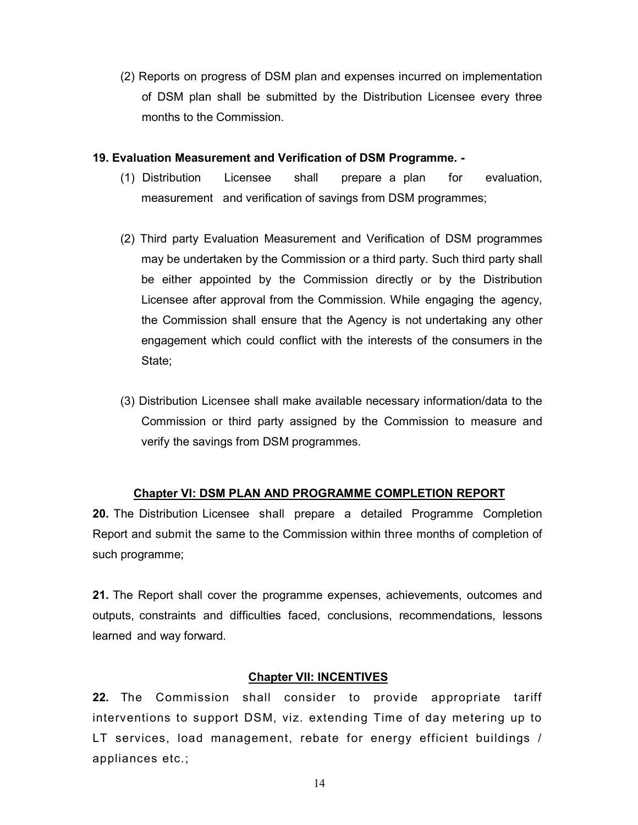(2) Reports on progress of DSM plan and expenses incurred on implementation of DSM plan shall be submitted by the Distribution Licensee every three months to the Commission.

### 19. Evaluation Measurement and Verification of DSM Programme. -

- (1) Distribution Licensee shall prepare a plan for evaluation, measurement and verification of savings from DSM programmes;
- (2) Third party Evaluation Measurement and Verification of DSM programmes may be undertaken by the Commission or a third party. Such third party shall be either appointed by the Commission directly or by the Distribution Licensee after approval from the Commission. While engaging the agency, the Commission shall ensure that the Agency is not undertaking any other engagement which could conflict with the interests of the consumers in the State;
- (3) Distribution Licensee shall make available necessary information/data to the Commission or third party assigned by the Commission to measure and verify the savings from DSM programmes.

# Chapter VI: DSM PLAN AND PROGRAMME COMPLETION REPORT

20. The Distribution Licensee shall prepare a detailed Programme Completion Report and submit the same to the Commission within three months of completion of such programme;

21. The Report shall cover the programme expenses, achievements, outcomes and outputs, constraints and difficulties faced, conclusions, recommendations, lessons learned and way forward.

# Chapter VII: INCENTIVES

22. The Commission shall consider to provide appropriate tariff interventions to support DSM, viz. extending Time of day metering up to LT services, load management, rebate for energy efficient buildings / appliances etc.;

14